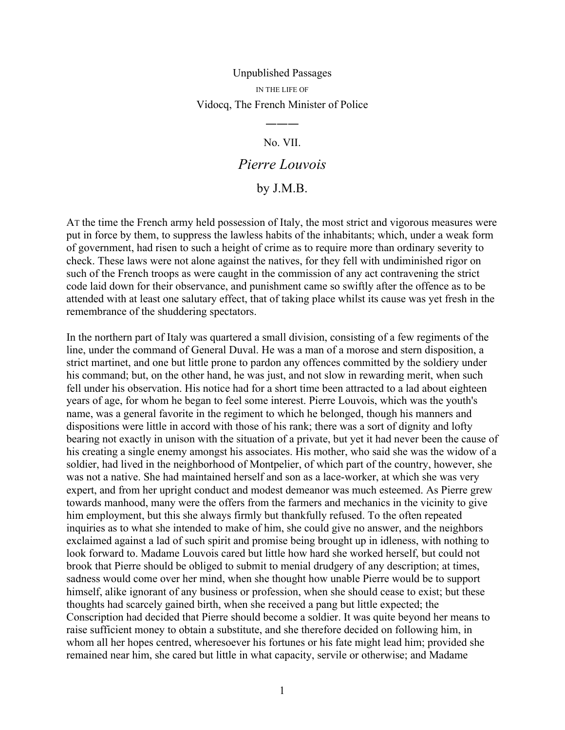## Unpublished Passages IN THE LIFE OF Vidocq, The French Minister of Police

## No. VII.

―――

## *Pierre Louvois*

## by J.M.B.

AT the time the French army held possession of Italy, the most strict and vigorous measures were put in force by them, to suppress the lawless habits of the inhabitants; which, under a weak form of government, had risen to such a height of crime as to require more than ordinary severity to check. These laws were not alone against the natives, for they fell with undiminished rigor on such of the French troops as were caught in the commission of any act contravening the strict code laid down for their observance, and punishment came so swiftly after the offence as to be attended with at least one salutary effect, that of taking place whilst its cause was yet fresh in the remembrance of the shuddering spectators.

In the northern part of Italy was quartered a small division, consisting of a few regiments of the line, under the command of General Duval. He was a man of a morose and stern disposition, a strict martinet, and one but little prone to pardon any offences committed by the soldiery under his command; but, on the other hand, he was just, and not slow in rewarding merit, when such fell under his observation. His notice had for a short time been attracted to a lad about eighteen years of age, for whom he began to feel some interest. Pierre Louvois, which was the youth's name, was a general favorite in the regiment to which he belonged, though his manners and dispositions were little in accord with those of his rank; there was a sort of dignity and lofty bearing not exactly in unison with the situation of a private, but yet it had never been the cause of his creating a single enemy amongst his associates. His mother, who said she was the widow of a soldier, had lived in the neighborhood of Montpelier, of which part of the country, however, she was not a native. She had maintained herself and son as a lace-worker, at which she was very expert, and from her upright conduct and modest demeanor was much esteemed. As Pierre grew towards manhood, many were the offers from the farmers and mechanics in the vicinity to give him employment, but this she always firmly but thankfully refused. To the often repeated inquiries as to what she intended to make of him, she could give no answer, and the neighbors exclaimed against a lad of such spirit and promise being brought up in idleness, with nothing to look forward to. Madame Louvois cared but little how hard she worked herself, but could not brook that Pierre should be obliged to submit to menial drudgery of any description; at times, sadness would come over her mind, when she thought how unable Pierre would be to support himself, alike ignorant of any business or profession, when she should cease to exist; but these thoughts had scarcely gained birth, when she received a pang but little expected; the Conscription had decided that Pierre should become a soldier. It was quite beyond her means to raise sufficient money to obtain a substitute, and she therefore decided on following him, in whom all her hopes centred, wheresoever his fortunes or his fate might lead him; provided she remained near him, she cared but little in what capacity, servile or otherwise; and Madame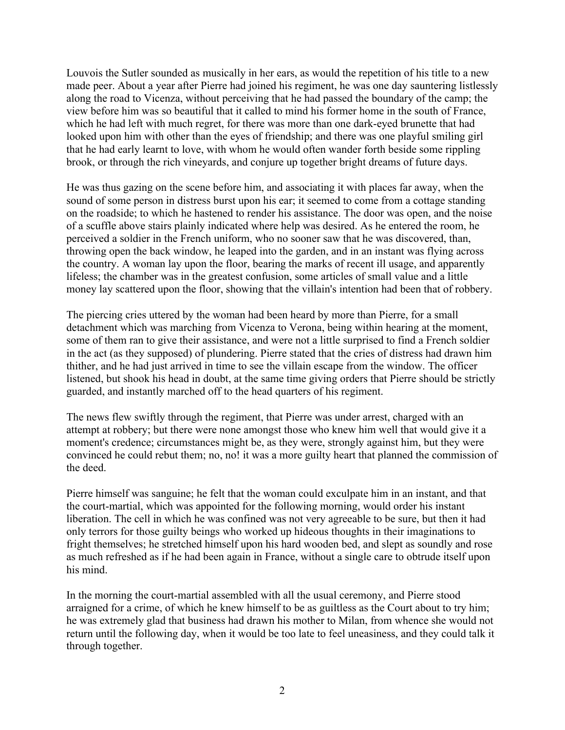Louvois the Sutler sounded as musically in her ears, as would the repetition of his title to a new made peer. About a year after Pierre had joined his regiment, he was one day sauntering listlessly along the road to Vicenza, without perceiving that he had passed the boundary of the camp; the view before him was so beautiful that it called to mind his former home in the south of France, which he had left with much regret, for there was more than one dark-eyed brunette that had looked upon him with other than the eyes of friendship; and there was one playful smiling girl that he had early learnt to love, with whom he would often wander forth beside some rippling brook, or through the rich vineyards, and conjure up together bright dreams of future days.

He was thus gazing on the scene before him, and associating it with places far away, when the sound of some person in distress burst upon his ear; it seemed to come from a cottage standing on the roadside; to which he hastened to render his assistance. The door was open, and the noise of a scuffle above stairs plainly indicated where help was desired. As he entered the room, he perceived a soldier in the French uniform, who no sooner saw that he was discovered, than, throwing open the back window, he leaped into the garden, and in an instant was flying across the country. A woman lay upon the floor, bearing the marks of recent ill usage, and apparently lifeless; the chamber was in the greatest confusion, some articles of small value and a little money lay scattered upon the floor, showing that the villain's intention had been that of robbery.

The piercing cries uttered by the woman had been heard by more than Pierre, for a small detachment which was marching from Vicenza to Verona, being within hearing at the moment, some of them ran to give their assistance, and were not a little surprised to find a French soldier in the act (as they supposed) of plundering. Pierre stated that the cries of distress had drawn him thither, and he had just arrived in time to see the villain escape from the window. The officer listened, but shook his head in doubt, at the same time giving orders that Pierre should be strictly guarded, and instantly marched off to the head quarters of his regiment.

The news flew swiftly through the regiment, that Pierre was under arrest, charged with an attempt at robbery; but there were none amongst those who knew him well that would give it a moment's credence; circumstances might be, as they were, strongly against him, but they were convinced he could rebut them; no, no! it was a more guilty heart that planned the commission of the deed.

Pierre himself was sanguine; he felt that the woman could exculpate him in an instant, and that the court-martial, which was appointed for the following morning, would order his instant liberation. The cell in which he was confined was not very agreeable to be sure, but then it had only terrors for those guilty beings who worked up hideous thoughts in their imaginations to fright themselves; he stretched himself upon his hard wooden bed, and slept as soundly and rose as much refreshed as if he had been again in France, without a single care to obtrude itself upon his mind.

In the morning the court-martial assembled with all the usual ceremony, and Pierre stood arraigned for a crime, of which he knew himself to be as guiltless as the Court about to try him; he was extremely glad that business had drawn his mother to Milan, from whence she would not return until the following day, when it would be too late to feel uneasiness, and they could talk it through together.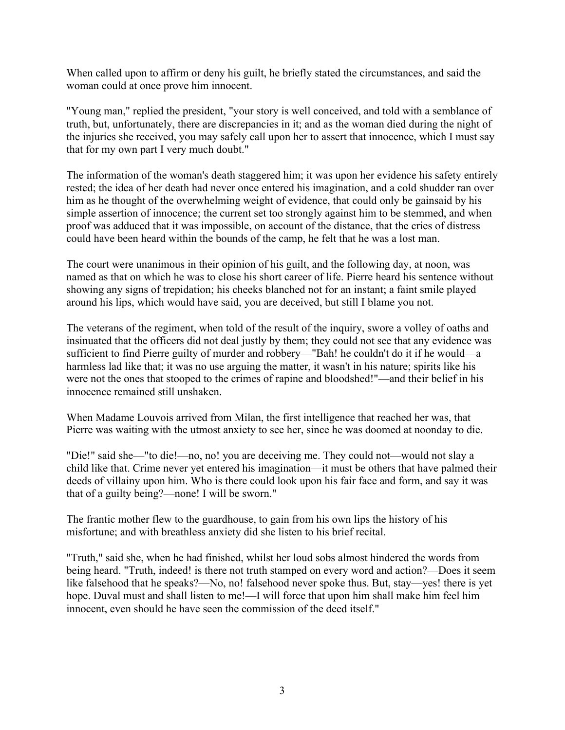When called upon to affirm or deny his guilt, he briefly stated the circumstances, and said the woman could at once prove him innocent.

"Young man," replied the president, "your story is well conceived, and told with a semblance of truth, but, unfortunately, there are discrepancies in it; and as the woman died during the night of the injuries she received, you may safely call upon her to assert that innocence, which I must say that for my own part I very much doubt."

The information of the woman's death staggered him; it was upon her evidence his safety entirely rested; the idea of her death had never once entered his imagination, and a cold shudder ran over him as he thought of the overwhelming weight of evidence, that could only be gainsaid by his simple assertion of innocence; the current set too strongly against him to be stemmed, and when proof was adduced that it was impossible, on account of the distance, that the cries of distress could have been heard within the bounds of the camp, he felt that he was a lost man.

The court were unanimous in their opinion of his guilt, and the following day, at noon, was named as that on which he was to close his short career of life. Pierre heard his sentence without showing any signs of trepidation; his cheeks blanched not for an instant; a faint smile played around his lips, which would have said, you are deceived, but still I blame you not.

The veterans of the regiment, when told of the result of the inquiry, swore a volley of oaths and insinuated that the officers did not deal justly by them; they could not see that any evidence was sufficient to find Pierre guilty of murder and robbery—"Bah! he couldn't do it if he would—a harmless lad like that; it was no use arguing the matter, it wasn't in his nature; spirits like his were not the ones that stooped to the crimes of rapine and bloodshed!"—and their belief in his innocence remained still unshaken.

When Madame Louvois arrived from Milan, the first intelligence that reached her was, that Pierre was waiting with the utmost anxiety to see her, since he was doomed at noonday to die.

"Die!" said she—"to die!—no, no! you are deceiving me. They could not—would not slay a child like that. Crime never yet entered his imagination—it must be others that have palmed their deeds of villainy upon him. Who is there could look upon his fair face and form, and say it was that of a guilty being?—none! I will be sworn."

The frantic mother flew to the guardhouse, to gain from his own lips the history of his misfortune; and with breathless anxiety did she listen to his brief recital.

"Truth," said she, when he had finished, whilst her loud sobs almost hindered the words from being heard. "Truth, indeed! is there not truth stamped on every word and action?—Does it seem like falsehood that he speaks?—No, no! falsehood never spoke thus. But, stay—yes! there is yet hope. Duval must and shall listen to me!—I will force that upon him shall make him feel him innocent, even should he have seen the commission of the deed itself."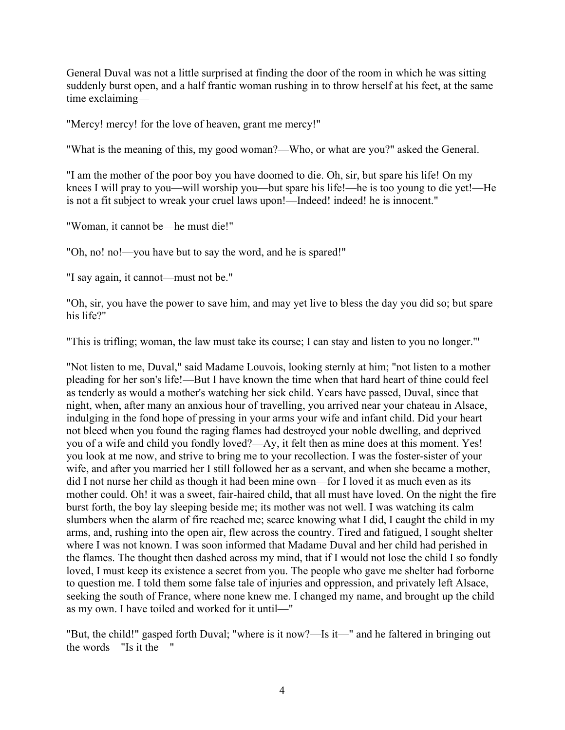General Duval was not a little surprised at finding the door of the room in which he was sitting suddenly burst open, and a half frantic woman rushing in to throw herself at his feet, at the same time exclaiming—

"Mercy! mercy! for the love of heaven, grant me mercy!"

"What is the meaning of this, my good woman?—Who, or what are you?" asked the General.

"I am the mother of the poor boy you have doomed to die. Oh, sir, but spare his life! On my knees I will pray to you—will worship you—but spare his life!—he is too young to die yet!—He is not a fit subject to wreak your cruel laws upon!—Indeed! indeed! he is innocent."

"Woman, it cannot be—he must die!"

"Oh, no! no!—you have but to say the word, and he is spared!"

"I say again, it cannot—must not be."

"Oh, sir, you have the power to save him, and may yet live to bless the day you did so; but spare his life?"

"This is trifling; woman, the law must take its course; I can stay and listen to you no longer."'

"Not listen to me, Duval," said Madame Louvois, looking sternly at him; "not listen to a mother pleading for her son's life!—But I have known the time when that hard heart of thine could feel as tenderly as would a mother's watching her sick child. Years have passed, Duval, since that night, when, after many an anxious hour of travelling, you arrived near your chateau in Alsace, indulging in the fond hope of pressing in your arms your wife and infant child. Did your heart not bleed when you found the raging flames had destroyed your noble dwelling, and deprived you of a wife and child you fondly loved?—Ay, it felt then as mine does at this moment. Yes! you look at me now, and strive to bring me to your recollection. I was the foster-sister of your wife, and after you married her I still followed her as a servant, and when she became a mother, did I not nurse her child as though it had been mine own—for I loved it as much even as its mother could. Oh! it was a sweet, fair-haired child, that all must have loved. On the night the fire burst forth, the boy lay sleeping beside me; its mother was not well. I was watching its calm slumbers when the alarm of fire reached me; scarce knowing what I did, I caught the child in my arms, and, rushing into the open air, flew across the country. Tired and fatigued, I sought shelter where I was not known. I was soon informed that Madame Duval and her child had perished in the flames. The thought then dashed across my mind, that if I would not lose the child I so fondly loved, I must keep its existence a secret from you. The people who gave me shelter had forborne to question me. I told them some false tale of injuries and oppression, and privately left Alsace, seeking the south of France, where none knew me. I changed my name, and brought up the child as my own. I have toiled and worked for it until—"

"But, the child!" gasped forth Duval; "where is it now?—Is it—" and he faltered in bringing out the words—"Is it the—"